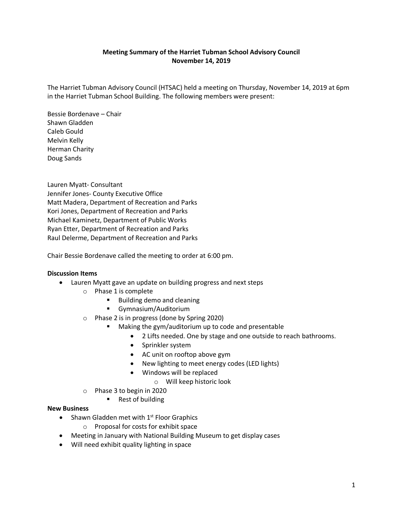## **Meeting Summary of the Harriet Tubman School Advisory Council November 14, 2019**

The Harriet Tubman Advisory Council (HTSAC) held a meeting on Thursday, November 14, 2019 at 6pm in the Harriet Tubman School Building. The following members were present:

Bessie Bordenave – Chair Shawn Gladden Caleb Gould Melvin Kelly Herman Charity Doug Sands

Lauren Myatt- Consultant Jennifer Jones- County Executive Office Matt Madera, Department of Recreation and Parks Kori Jones, Department of Recreation and Parks Michael Kaminetz, Department of Public Works Ryan Etter, Department of Recreation and Parks Raul Delerme, Department of Recreation and Parks

Chair Bessie Bordenave called the meeting to order at 6:00 pm.

## **Discussion Items**

- Lauren Myatt gave an update on building progress and next steps
	- o Phase 1 is complete
		- Building demo and cleaning
		- Gymnasium/Auditorium
	- o Phase 2 is in progress (done by Spring 2020)
		- Making the gym/auditorium up to code and presentable
			- 2 Lifts needed. One by stage and one outside to reach bathrooms.
				- Sprinkler system
				- AC unit on rooftop above gym
				- New lighting to meet energy codes (LED lights)
				- Windows will be replaced
					- o Will keep historic look
	- o Phase 3 to begin in 2020
		- Rest of building

#### **New Business**

- Shawn Gladden met with  $1<sup>st</sup>$  Floor Graphics
	- o Proposal for costs for exhibit space
- Meeting in January with National Building Museum to get display cases
- Will need exhibit quality lighting in space